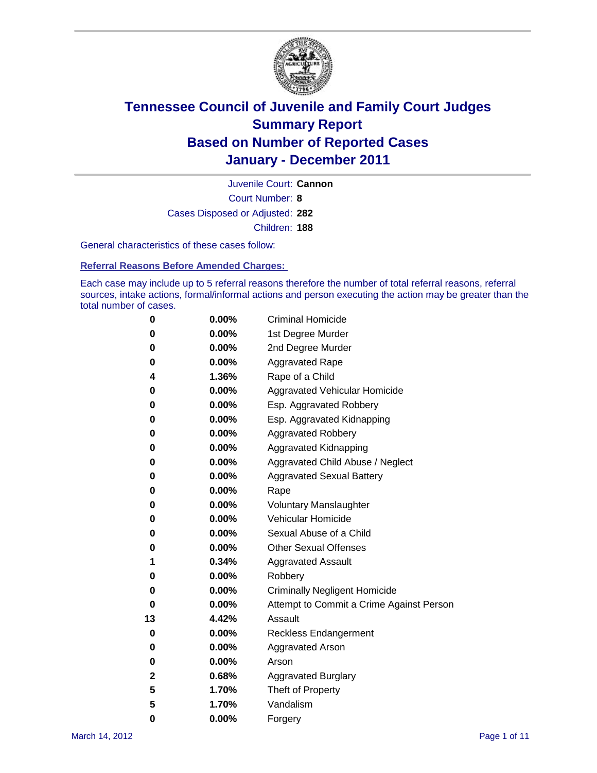

Court Number: **8** Juvenile Court: **Cannon** Cases Disposed or Adjusted: **282** Children: **188**

General characteristics of these cases follow:

**Referral Reasons Before Amended Charges:** 

Each case may include up to 5 referral reasons therefore the number of total referral reasons, referral sources, intake actions, formal/informal actions and person executing the action may be greater than the total number of cases.

| 0  | 0.00%    | <b>Criminal Homicide</b>                 |
|----|----------|------------------------------------------|
| 0  | 0.00%    | 1st Degree Murder                        |
| 0  | 0.00%    | 2nd Degree Murder                        |
| 0  | 0.00%    | <b>Aggravated Rape</b>                   |
| 4  | 1.36%    | Rape of a Child                          |
| 0  | 0.00%    | Aggravated Vehicular Homicide            |
| 0  | 0.00%    | Esp. Aggravated Robbery                  |
| 0  | 0.00%    | Esp. Aggravated Kidnapping               |
| 0  | 0.00%    | <b>Aggravated Robbery</b>                |
| 0  | 0.00%    | Aggravated Kidnapping                    |
| 0  | 0.00%    | Aggravated Child Abuse / Neglect         |
| 0  | 0.00%    | <b>Aggravated Sexual Battery</b>         |
| 0  | 0.00%    | Rape                                     |
| 0  | 0.00%    | <b>Voluntary Manslaughter</b>            |
| 0  | 0.00%    | Vehicular Homicide                       |
| 0  | 0.00%    | Sexual Abuse of a Child                  |
| 0  | 0.00%    | <b>Other Sexual Offenses</b>             |
| 1  | 0.34%    | <b>Aggravated Assault</b>                |
| 0  | $0.00\%$ | Robbery                                  |
| 0  | 0.00%    | <b>Criminally Negligent Homicide</b>     |
| 0  | 0.00%    | Attempt to Commit a Crime Against Person |
| 13 | 4.42%    | Assault                                  |
| 0  | 0.00%    | <b>Reckless Endangerment</b>             |
| 0  | 0.00%    | <b>Aggravated Arson</b>                  |
| 0  | 0.00%    | Arson                                    |
| 2  | 0.68%    | <b>Aggravated Burglary</b>               |
| 5  | 1.70%    | Theft of Property                        |
| 5  | 1.70%    | Vandalism                                |
| 0  | 0.00%    | Forgery                                  |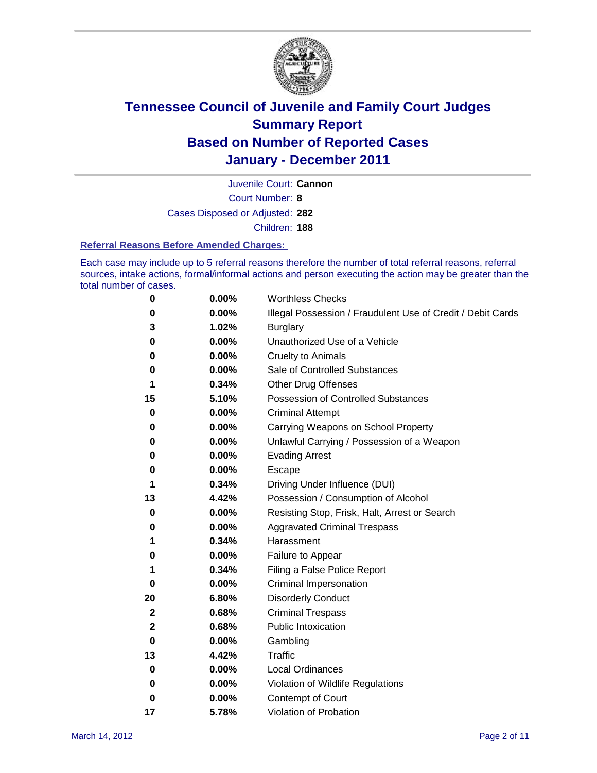

Juvenile Court: **Cannon**

Court Number: **8**

Cases Disposed or Adjusted: **282**

Children: **188**

#### **Referral Reasons Before Amended Charges:**

Each case may include up to 5 referral reasons therefore the number of total referral reasons, referral sources, intake actions, formal/informal actions and person executing the action may be greater than the total number of cases.

| 0           | 0.00% | <b>Worthless Checks</b>                                     |
|-------------|-------|-------------------------------------------------------------|
| 0           | 0.00% | Illegal Possession / Fraudulent Use of Credit / Debit Cards |
| 3           | 1.02% | <b>Burglary</b>                                             |
| 0           | 0.00% | Unauthorized Use of a Vehicle                               |
| 0           | 0.00% | <b>Cruelty to Animals</b>                                   |
| 0           | 0.00% | Sale of Controlled Substances                               |
| 1           | 0.34% | <b>Other Drug Offenses</b>                                  |
| 15          | 5.10% | Possession of Controlled Substances                         |
| 0           | 0.00% | <b>Criminal Attempt</b>                                     |
| 0           | 0.00% | Carrying Weapons on School Property                         |
| 0           | 0.00% | Unlawful Carrying / Possession of a Weapon                  |
| 0           | 0.00% | <b>Evading Arrest</b>                                       |
| 0           | 0.00% | Escape                                                      |
| 1           | 0.34% | Driving Under Influence (DUI)                               |
| 13          | 4.42% | Possession / Consumption of Alcohol                         |
| 0           | 0.00% | Resisting Stop, Frisk, Halt, Arrest or Search               |
| 0           | 0.00% | <b>Aggravated Criminal Trespass</b>                         |
| 1           | 0.34% | Harassment                                                  |
| 0           | 0.00% | Failure to Appear                                           |
| 1           | 0.34% | Filing a False Police Report                                |
| 0           | 0.00% | Criminal Impersonation                                      |
| 20          | 6.80% | <b>Disorderly Conduct</b>                                   |
| $\mathbf 2$ | 0.68% | <b>Criminal Trespass</b>                                    |
| 2           | 0.68% | <b>Public Intoxication</b>                                  |
| 0           | 0.00% | Gambling                                                    |
| 13          | 4.42% | Traffic                                                     |
| 0           | 0.00% | <b>Local Ordinances</b>                                     |
| 0           | 0.00% | Violation of Wildlife Regulations                           |
| 0           | 0.00% | Contempt of Court                                           |
| 17          | 5.78% | Violation of Probation                                      |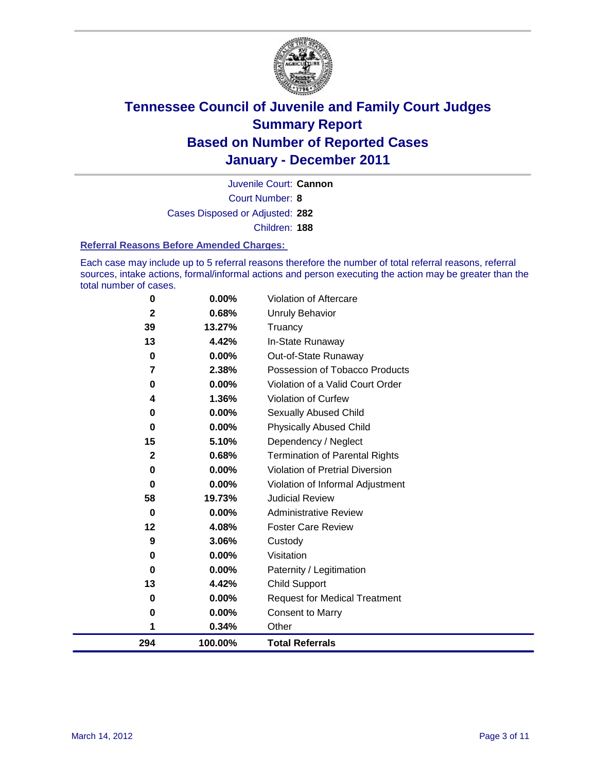

Court Number: **8** Juvenile Court: **Cannon** Cases Disposed or Adjusted: **282** Children: **188**

#### **Referral Reasons Before Amended Charges:**

Each case may include up to 5 referral reasons therefore the number of total referral reasons, referral sources, intake actions, formal/informal actions and person executing the action may be greater than the total number of cases.

| 294          | 100.00%  | <b>Total Referrals</b>                 |
|--------------|----------|----------------------------------------|
| 1            | 0.34%    | Other                                  |
| 0            | 0.00%    | <b>Consent to Marry</b>                |
| 0            | $0.00\%$ | <b>Request for Medical Treatment</b>   |
| 13           | 4.42%    | <b>Child Support</b>                   |
| 0            | $0.00\%$ | Paternity / Legitimation               |
| 0            | $0.00\%$ | Visitation                             |
| 9            | 3.06%    | Custody                                |
| 12           | 4.08%    | <b>Foster Care Review</b>              |
| 0            | $0.00\%$ | <b>Administrative Review</b>           |
| 58           | 19.73%   | <b>Judicial Review</b>                 |
| 0            | $0.00\%$ | Violation of Informal Adjustment       |
| $\bf{0}$     | $0.00\%$ | <b>Violation of Pretrial Diversion</b> |
| $\mathbf{2}$ | 0.68%    | <b>Termination of Parental Rights</b>  |
| 15           | 5.10%    | Dependency / Neglect                   |
| $\bf{0}$     | $0.00\%$ | <b>Physically Abused Child</b>         |
| 0            | 0.00%    | <b>Sexually Abused Child</b>           |
| 4            | 1.36%    | Violation of Curfew                    |
| 0            | $0.00\%$ | Violation of a Valid Court Order       |
| 7            | 2.38%    | Possession of Tobacco Products         |
| $\mathbf 0$  | $0.00\%$ | Out-of-State Runaway                   |
| 13           | 4.42%    | In-State Runaway                       |
| 39           | 13.27%   | Truancy                                |
| $\mathbf 2$  | 0.68%    | Unruly Behavior                        |
| 0            | $0.00\%$ | Violation of Aftercare                 |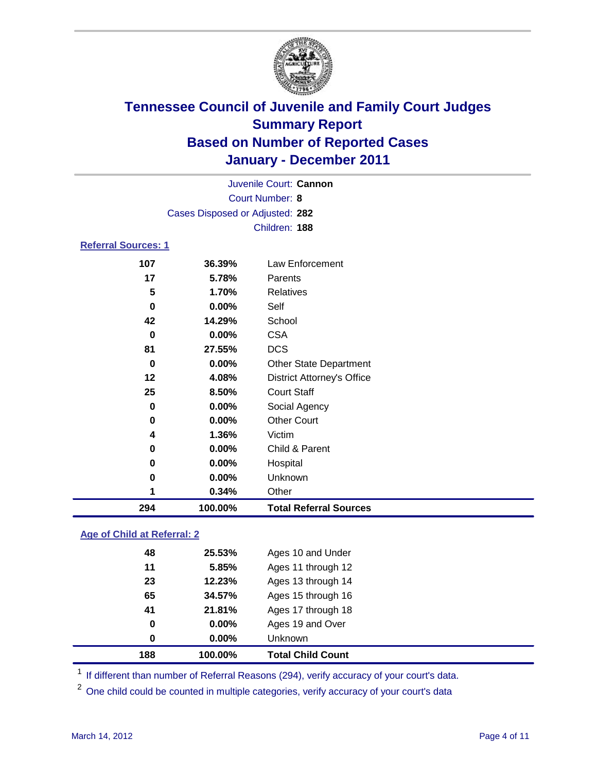

|                            | Juvenile Court: Cannon          |                                   |  |  |
|----------------------------|---------------------------------|-----------------------------------|--|--|
|                            | <b>Court Number: 8</b>          |                                   |  |  |
|                            | Cases Disposed or Adjusted: 282 |                                   |  |  |
|                            |                                 | Children: 188                     |  |  |
| <b>Referral Sources: 1</b> |                                 |                                   |  |  |
| 107                        | 36.39%                          | Law Enforcement                   |  |  |
| 17                         | 5.78%                           | Parents                           |  |  |
| 5                          | 1.70%                           | <b>Relatives</b>                  |  |  |
| 0                          | $0.00\%$                        | Self                              |  |  |
| 42                         | 14.29%                          | School                            |  |  |
| $\bf{0}$                   | $0.00\%$                        | <b>CSA</b>                        |  |  |
| 81                         | 27.55%                          | <b>DCS</b>                        |  |  |
| 0                          | $0.00\%$                        | Other State Department            |  |  |
| 12                         | 4.08%                           | <b>District Attorney's Office</b> |  |  |
| 25                         | 8.50%                           | <b>Court Staff</b>                |  |  |
| 0                          | 0.00%                           | Social Agency                     |  |  |
| 0                          | $0.00\%$                        | <b>Other Court</b>                |  |  |
| 4                          | 1.36%                           | Victim                            |  |  |
| 0                          | $0.00\%$                        | Child & Parent                    |  |  |
| 0                          | $0.00\%$                        | Hospital                          |  |  |
| 0                          | 0.00%                           | Unknown                           |  |  |
| 1                          | 0.34%                           | Other                             |  |  |
| 294                        | 100.00%                         | <b>Total Referral Sources</b>     |  |  |

### **Age of Child at Referral: 2**

| 0  | $0.00\%$ | Unknown            |  |
|----|----------|--------------------|--|
| 0  | 0.00%    | Ages 19 and Over   |  |
| 41 | 21.81%   | Ages 17 through 18 |  |
| 65 | 34.57%   | Ages 15 through 16 |  |
| 23 | 12.23%   | Ages 13 through 14 |  |
| 11 | 5.85%    | Ages 11 through 12 |  |
| 48 | 25.53%   | Ages 10 and Under  |  |
|    |          |                    |  |

<sup>1</sup> If different than number of Referral Reasons (294), verify accuracy of your court's data.

<sup>2</sup> One child could be counted in multiple categories, verify accuracy of your court's data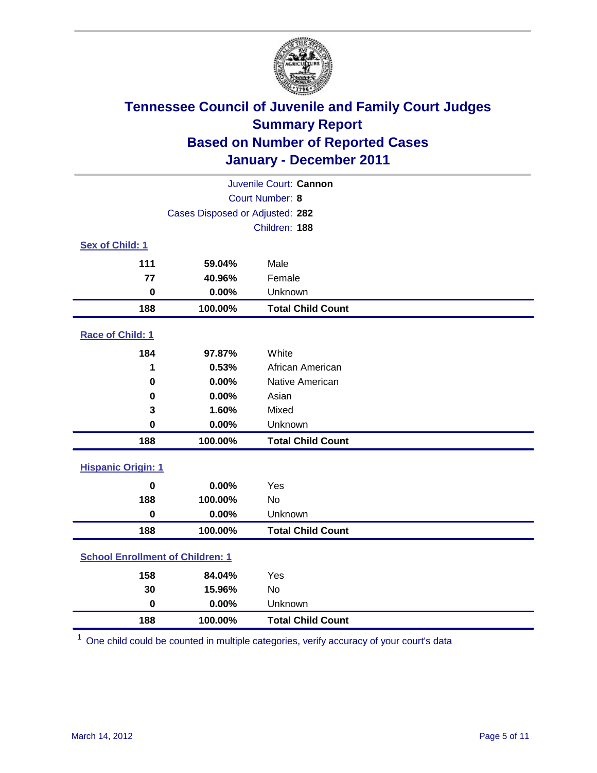

| Juvenile Court: Cannon                  |                                 |                          |  |  |
|-----------------------------------------|---------------------------------|--------------------------|--|--|
| Court Number: 8                         |                                 |                          |  |  |
|                                         | Cases Disposed or Adjusted: 282 |                          |  |  |
|                                         |                                 | Children: 188            |  |  |
| Sex of Child: 1                         |                                 |                          |  |  |
| 111                                     | 59.04%                          | Male                     |  |  |
| 77                                      | 40.96%                          | Female                   |  |  |
| $\pmb{0}$                               | 0.00%                           | Unknown                  |  |  |
| 188                                     | 100.00%                         | <b>Total Child Count</b> |  |  |
| Race of Child: 1                        |                                 |                          |  |  |
| 184                                     | 97.87%                          | White                    |  |  |
| 1                                       | 0.53%                           | African American         |  |  |
| 0                                       | 0.00%                           | Native American          |  |  |
| 0                                       | 0.00%                           | Asian                    |  |  |
| 3                                       | 1.60%                           | Mixed                    |  |  |
| $\mathbf 0$                             | 0.00%                           | Unknown                  |  |  |
| 188                                     | 100.00%                         | <b>Total Child Count</b> |  |  |
| <b>Hispanic Origin: 1</b>               |                                 |                          |  |  |
| $\mathbf 0$                             | 0.00%                           | Yes                      |  |  |
| 188                                     | 100.00%                         | <b>No</b>                |  |  |
| $\mathbf 0$                             | 0.00%                           | Unknown                  |  |  |
| 188                                     | 100.00%                         | <b>Total Child Count</b> |  |  |
| <b>School Enrollment of Children: 1</b> |                                 |                          |  |  |
| 158                                     | 84.04%                          | Yes                      |  |  |
| 30                                      | 15.96%                          | No                       |  |  |
| $\mathbf 0$                             | 0.00%                           | Unknown                  |  |  |
| 188                                     | 100.00%                         | <b>Total Child Count</b> |  |  |

One child could be counted in multiple categories, verify accuracy of your court's data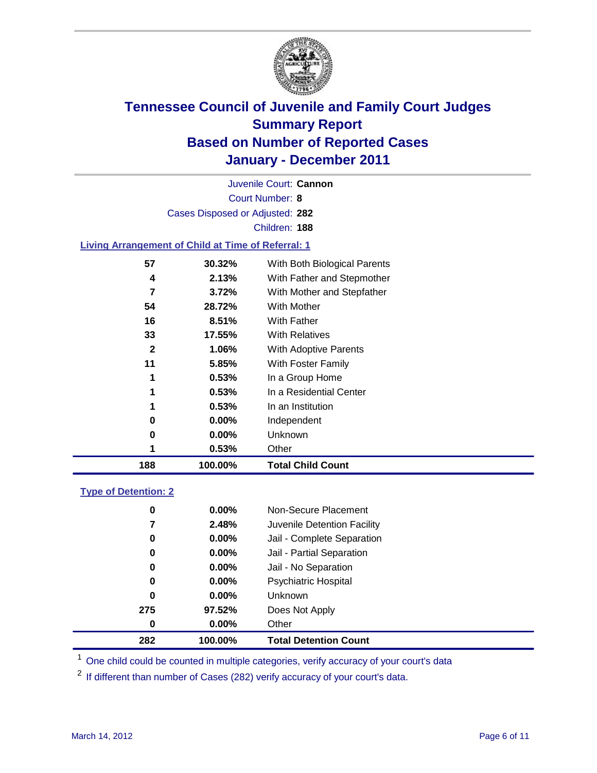

Court Number: **8** Juvenile Court: **Cannon** Cases Disposed or Adjusted: **282** Children: **188**

#### **Living Arrangement of Child at Time of Referral: 1**

| 188          | 100.00%  | <b>Total Child Count</b>     |
|--------------|----------|------------------------------|
| 1            | 0.53%    | Other                        |
| 0            | 0.00%    | Unknown                      |
| 0            | $0.00\%$ | Independent                  |
| 1            | 0.53%    | In an Institution            |
| 1            | 0.53%    | In a Residential Center      |
| 1            | 0.53%    | In a Group Home              |
| 11           | 5.85%    | With Foster Family           |
| $\mathbf{2}$ | 1.06%    | With Adoptive Parents        |
| 33           | 17.55%   | <b>With Relatives</b>        |
| 16           | 8.51%    | With Father                  |
| 54           | 28.72%   | With Mother                  |
| 7            | 3.72%    | With Mother and Stepfather   |
| 4            | 2.13%    | With Father and Stepmother   |
| 57           | 30.32%   | With Both Biological Parents |
|              |          |                              |

#### **Type of Detention: 2**

| 282 | 100.00%  | <b>Total Detention Count</b> |
|-----|----------|------------------------------|
| 0   | $0.00\%$ | Other                        |
| 275 | 97.52%   | Does Not Apply               |
| 0   | $0.00\%$ | Unknown                      |
| 0   | 0.00%    | <b>Psychiatric Hospital</b>  |
| 0   | 0.00%    | Jail - No Separation         |
| 0   | $0.00\%$ | Jail - Partial Separation    |
| 0   | $0.00\%$ | Jail - Complete Separation   |
| 7   | 2.48%    | Juvenile Detention Facility  |
| 0   | $0.00\%$ | Non-Secure Placement         |
|     |          |                              |

<sup>1</sup> One child could be counted in multiple categories, verify accuracy of your court's data

<sup>2</sup> If different than number of Cases (282) verify accuracy of your court's data.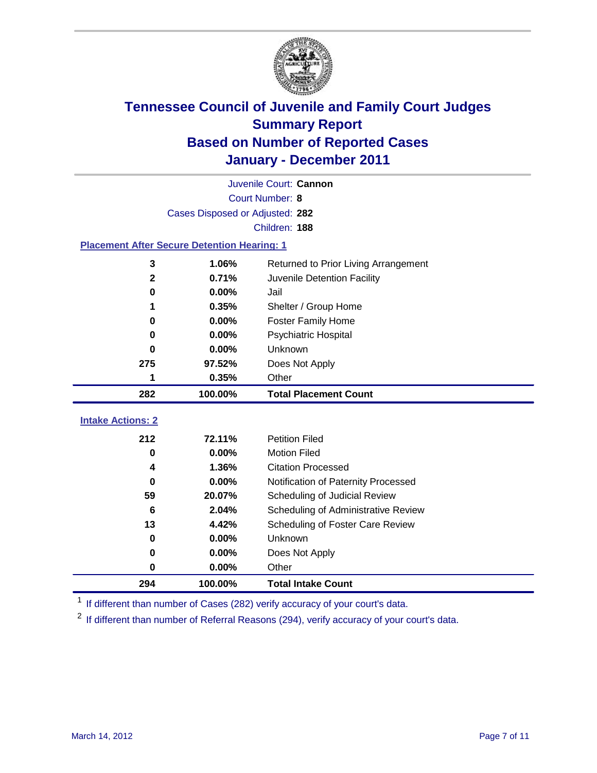

| Juvenile Court: Cannon                             |                                 |                                      |  |  |  |
|----------------------------------------------------|---------------------------------|--------------------------------------|--|--|--|
|                                                    | Court Number: 8                 |                                      |  |  |  |
|                                                    | Cases Disposed or Adjusted: 282 |                                      |  |  |  |
|                                                    | Children: 188                   |                                      |  |  |  |
| <b>Placement After Secure Detention Hearing: 1</b> |                                 |                                      |  |  |  |
| 3                                                  | 1.06%                           | Returned to Prior Living Arrangement |  |  |  |
| $\mathbf{2}$                                       | 0.71%                           | Juvenile Detention Facility          |  |  |  |
| $\bf{0}$                                           | 0.00%                           | Jail                                 |  |  |  |
| 1                                                  | 0.35%                           | Shelter / Group Home                 |  |  |  |
| 0                                                  | 0.00%                           | <b>Foster Family Home</b>            |  |  |  |
| $\bf{0}$                                           | 0.00%                           | Psychiatric Hospital                 |  |  |  |
| 0                                                  | $0.00\%$                        | Unknown                              |  |  |  |
| 275                                                | 97.52%                          | Does Not Apply                       |  |  |  |
| 1                                                  | 0.35%                           | Other                                |  |  |  |
|                                                    |                                 |                                      |  |  |  |
| 282                                                | 100.00%                         | <b>Total Placement Count</b>         |  |  |  |
|                                                    |                                 |                                      |  |  |  |
| <b>Intake Actions: 2</b><br>212                    | 72.11%                          | <b>Petition Filed</b>                |  |  |  |
| 0                                                  | 0.00%                           | <b>Motion Filed</b>                  |  |  |  |
| 4                                                  | 1.36%                           | <b>Citation Processed</b>            |  |  |  |
| 0                                                  | 0.00%                           | Notification of Paternity Processed  |  |  |  |
| 59                                                 | 20.07%                          | Scheduling of Judicial Review        |  |  |  |
| 6                                                  | 2.04%                           | Scheduling of Administrative Review  |  |  |  |
| 13                                                 | 4.42%                           | Scheduling of Foster Care Review     |  |  |  |
| 0                                                  | 0.00%                           | Unknown                              |  |  |  |
| 0                                                  | 0.00%                           | Does Not Apply                       |  |  |  |
| $\pmb{0}$                                          | 0.00%                           | Other                                |  |  |  |

<sup>1</sup> If different than number of Cases (282) verify accuracy of your court's data.

<sup>2</sup> If different than number of Referral Reasons (294), verify accuracy of your court's data.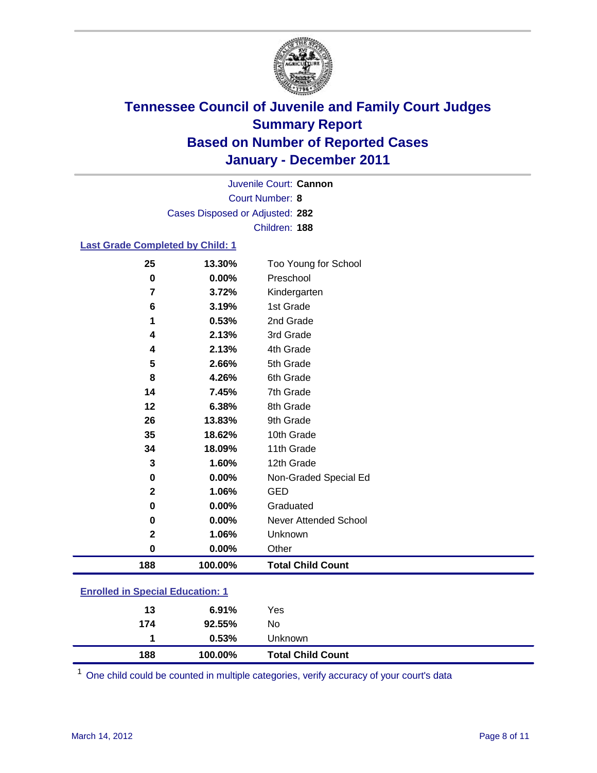

Court Number: **8** Juvenile Court: **Cannon** Cases Disposed or Adjusted: **282** Children: **188**

#### **Last Grade Completed by Child: 1**

| 25                                      | 13.30%  | Too Young for School         |  |
|-----------------------------------------|---------|------------------------------|--|
| 0                                       | 0.00%   | Preschool                    |  |
| 7                                       | 3.72%   | Kindergarten                 |  |
| 6                                       | 3.19%   | 1st Grade                    |  |
| 1                                       | 0.53%   | 2nd Grade                    |  |
| 4                                       | 2.13%   | 3rd Grade                    |  |
| 4                                       | 2.13%   | 4th Grade                    |  |
| 5                                       | 2.66%   | 5th Grade                    |  |
| 8                                       | 4.26%   | 6th Grade                    |  |
| 14                                      | 7.45%   | 7th Grade                    |  |
| 12                                      | 6.38%   | 8th Grade                    |  |
| 26                                      | 13.83%  | 9th Grade                    |  |
| 35                                      | 18.62%  | 10th Grade                   |  |
| 34                                      | 18.09%  | 11th Grade                   |  |
| 3                                       | 1.60%   | 12th Grade                   |  |
| 0                                       | 0.00%   | Non-Graded Special Ed        |  |
| $\overline{2}$                          | 1.06%   | <b>GED</b>                   |  |
| 0                                       | 0.00%   | Graduated                    |  |
| 0                                       | 0.00%   | <b>Never Attended School</b> |  |
| 2                                       | 1.06%   | Unknown                      |  |
| $\mathbf 0$                             | 0.00%   | Other                        |  |
| 188                                     | 100.00% | <b>Total Child Count</b>     |  |
| <b>Enrolled in Special Education: 1</b> |         |                              |  |

| 188 | 100.00% | <b>Total Child Count</b> |
|-----|---------|--------------------------|
|     | 0.53%   | Unknown                  |
| 174 | 92.55%  | No                       |
| 13  | 6.91%   | Yes                      |
|     |         |                          |

One child could be counted in multiple categories, verify accuracy of your court's data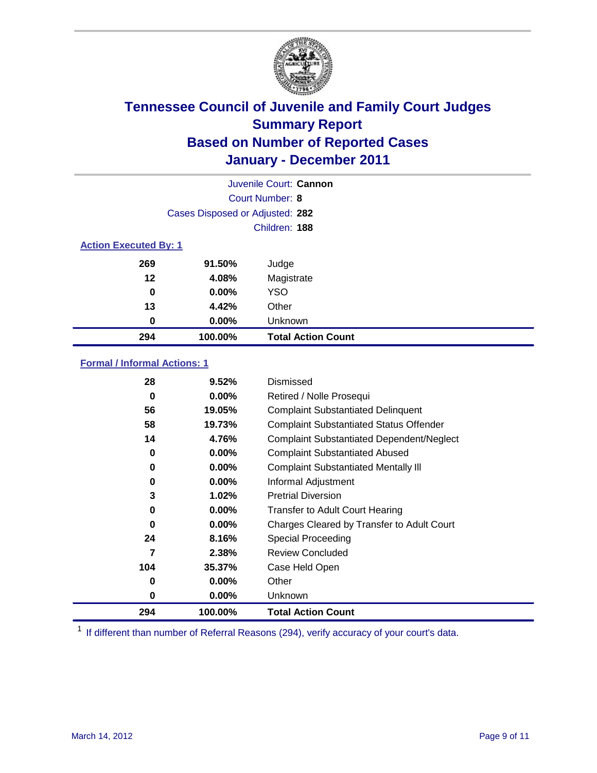

| Juvenile Court: Cannon |                                 |                           |  |  |  |
|------------------------|---------------------------------|---------------------------|--|--|--|
|                        | <b>Court Number: 8</b>          |                           |  |  |  |
|                        | Cases Disposed or Adjusted: 282 |                           |  |  |  |
|                        | Children: 188                   |                           |  |  |  |
|                        | <b>Action Executed By: 1</b>    |                           |  |  |  |
| 269                    | 91.50%                          | Judge                     |  |  |  |
| 12                     | 4.08%                           | Magistrate                |  |  |  |
| 0                      | $0.00\%$                        | <b>YSO</b>                |  |  |  |
| 13                     | 4.42%                           | Other                     |  |  |  |
| 0                      | 0.00%                           | Unknown                   |  |  |  |
| 294                    | 100.00%                         | <b>Total Action Count</b> |  |  |  |

### **Formal / Informal Actions: 1**

| 28  | 9.52%    | Dismissed                                        |
|-----|----------|--------------------------------------------------|
| 0   | $0.00\%$ | Retired / Nolle Prosequi                         |
| 56  | 19.05%   | <b>Complaint Substantiated Delinquent</b>        |
| 58  | 19.73%   | <b>Complaint Substantiated Status Offender</b>   |
| 14  | 4.76%    | <b>Complaint Substantiated Dependent/Neglect</b> |
| 0   | $0.00\%$ | <b>Complaint Substantiated Abused</b>            |
| 0   | $0.00\%$ | <b>Complaint Substantiated Mentally III</b>      |
| 0   | $0.00\%$ | Informal Adjustment                              |
| 3   | 1.02%    | <b>Pretrial Diversion</b>                        |
| 0   | $0.00\%$ | <b>Transfer to Adult Court Hearing</b>           |
| 0   | $0.00\%$ | Charges Cleared by Transfer to Adult Court       |
| 24  | 8.16%    | Special Proceeding                               |
| 7   | 2.38%    | <b>Review Concluded</b>                          |
| 104 | 35.37%   | Case Held Open                                   |
| 0   | $0.00\%$ | Other                                            |
| 0   | $0.00\%$ | <b>Unknown</b>                                   |
| 294 | 100.00%  | <b>Total Action Count</b>                        |

<sup>1</sup> If different than number of Referral Reasons (294), verify accuracy of your court's data.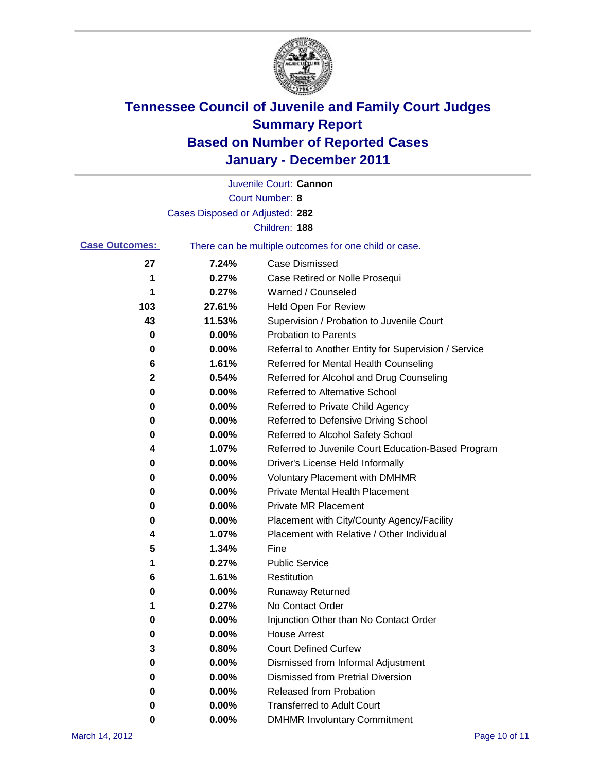

|                       |                                 | Juvenile Court: Cannon                                |
|-----------------------|---------------------------------|-------------------------------------------------------|
|                       |                                 | <b>Court Number: 8</b>                                |
|                       | Cases Disposed or Adjusted: 282 |                                                       |
|                       |                                 | Children: 188                                         |
| <b>Case Outcomes:</b> |                                 | There can be multiple outcomes for one child or case. |
| 27                    | 7.24%                           | <b>Case Dismissed</b>                                 |
| 1                     | 0.27%                           | Case Retired or Nolle Prosequi                        |
| 1                     | 0.27%                           | Warned / Counseled                                    |
| 103                   | 27.61%                          | Held Open For Review                                  |
| 43                    | 11.53%                          | Supervision / Probation to Juvenile Court             |
| 0                     | 0.00%                           | <b>Probation to Parents</b>                           |
| 0                     | 0.00%                           | Referral to Another Entity for Supervision / Service  |
| 6                     | 1.61%                           | Referred for Mental Health Counseling                 |
| 2                     | 0.54%                           | Referred for Alcohol and Drug Counseling              |
| 0                     | 0.00%                           | <b>Referred to Alternative School</b>                 |
| 0                     | 0.00%                           | Referred to Private Child Agency                      |
| 0                     | 0.00%                           | Referred to Defensive Driving School                  |
| 0                     | 0.00%                           | Referred to Alcohol Safety School                     |
| 4                     | 1.07%                           | Referred to Juvenile Court Education-Based Program    |
| 0                     | 0.00%                           | Driver's License Held Informally                      |
| 0                     | 0.00%                           | <b>Voluntary Placement with DMHMR</b>                 |
| 0                     | 0.00%                           | <b>Private Mental Health Placement</b>                |
| 0                     | 0.00%                           | <b>Private MR Placement</b>                           |
| 0                     | 0.00%                           | Placement with City/County Agency/Facility            |
| 4                     | 1.07%                           | Placement with Relative / Other Individual            |
| 5                     | 1.34%                           | Fine                                                  |
| 1                     | 0.27%                           | <b>Public Service</b>                                 |
| 6                     | 1.61%                           | Restitution                                           |
| 0                     | 0.00%                           | Runaway Returned                                      |
| 1                     | 0.27%                           | No Contact Order                                      |
| 0                     | 0.00%                           | Injunction Other than No Contact Order                |
| 0                     | 0.00%                           | <b>House Arrest</b>                                   |
| 3                     | 0.80%                           | <b>Court Defined Curfew</b>                           |
| 0                     | 0.00%                           | Dismissed from Informal Adjustment                    |
| 0                     | 0.00%                           | <b>Dismissed from Pretrial Diversion</b>              |
| 0                     | 0.00%                           | Released from Probation                               |
| 0                     | 0.00%                           | <b>Transferred to Adult Court</b>                     |
| 0                     | 0.00%                           | <b>DMHMR Involuntary Commitment</b>                   |